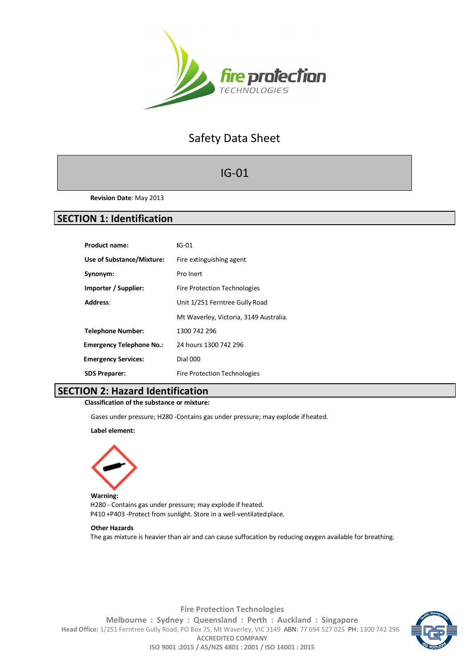

# Safety Data Sheet

# IG-01

**Revision Date**: May 2013

# **SECTION 1: Identification**

| <b>Product name:</b>            | $IG-01$                                |
|---------------------------------|----------------------------------------|
| Use of Substance/Mixture:       | Fire extinguishing agent               |
| Synonym:                        | Pro Inert                              |
| Importer / Supplier:            | <b>Fire Protection Technologies</b>    |
| Address:                        | Unit 1/251 Ferntree Gully Road         |
|                                 | Mt Waverley, Victoria, 3149 Australia. |
| <b>Telephone Number:</b>        | 1300 742 296                           |
| <b>Emergency Telephone No.:</b> | 24 hours 1300 742 296                  |
| <b>Emergency Services:</b>      | <b>Dial 000</b>                        |
| <b>SDS Preparer:</b>            | <b>Fire Protection Technologies</b>    |

# **SECTION 2: Hazard Identification**

**Classification of the substance or mixture:**

Gases under pressure; H280 -Contains gas under pressure; may explode ifheated.

**Label element:**



**Warning:** H280 - Contains gas under pressure; may explode if heated. P410 +P403 -Protect from sunlight. Store in a well-ventilated place.

#### **Other Hazards**

The gas mixture is heavier than air and can cause suffocation by reducing oxygen available for breathing.



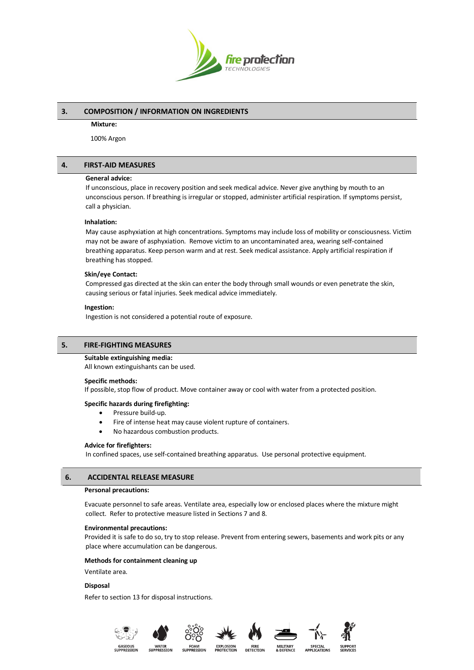

# **3. COMPOSITION / INFORMATION ON INGREDIENTS**

#### **Mixture:**

100% Argon

# **4. FIRST-AID MEASURES**

#### **General advice:**

If unconscious, place in recovery position and seek medical advice. Never give anything by mouth to an unconscious person. If breathing is irregular or stopped, administer artificial respiration. If symptoms persist, call a physician.

# **Inhalation:**

May cause asphyxiation at high concentrations. Symptoms may include loss of mobility or consciousness. Victim may not be aware of asphyxiation. Remove victim to an uncontaminated area, wearing self-contained breathing apparatus. Keep person warm and at rest. Seek medical assistance. Apply artificial respiration if breathing has stopped.

### **Skin/eye Contact:**

Compressed gas directed at the skin can enter the body through small wounds or even penetrate the skin, causing serious or fatal injuries. Seek medical advice immediately.

#### **Ingestion:**

Ingestion is not considered a potential route of exposure.

# **5. FIRE-FIGHTING MEASURES**

#### **Suitable extinguishing media:**

All known extinguishants can be used.

#### **Specific methods:**

If possible, stop flow of product. Move container away or cool with water from a protected position.

#### **Specific hazards during firefighting:**

- Pressure build-up.
- Fire of intense heat may cause violent rupture of containers.
- No hazardous combustion products.

#### **Advice for firefighters:**

In confined spaces, use self-contained breathing apparatus. Use personal protective equipment.

# **6. ACCIDENTAL RELEASE MEASURE**

### **Personal precautions:**

Evacuate personnel to safe areas. Ventilate area, especially low or enclosed places where the mixture might collect. Refer to protective measure listed in Sections 7 and 8.

#### **Environmental precautions:**

Provided it is safe to do so, try to stop release. Prevent from entering sewers, basements and work pits or any place where accumulation can be dangerous.

FIRE<br>DETECTION

### **Methods for containment cleaning up**

Ventilate area.

#### **Disposal**

Refer to section 13 for disposal instructions.











SPECIA<br>APPLICATI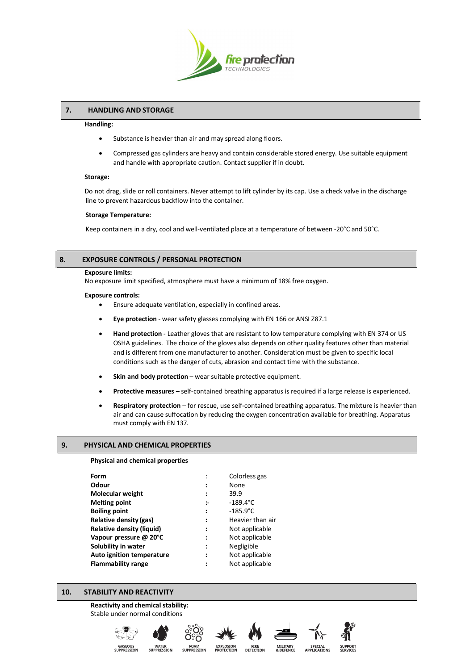

# **7. HANDLING AND STORAGE**

#### **Handling:**

- Substance is heavier than air and may spread along floors.
- Compressed gas cylinders are heavy and contain considerable stored energy. Use suitable equipment and handle with appropriate caution. Contact supplier if in doubt.

#### **Storage:**

Do not drag, slide or roll containers. Never attempt to lift cylinder by its cap. Use a check valve in the discharge line to prevent hazardous backflow into the container.

#### **Storage Temperature:**

Keep containers in a dry, cool and well-ventilated place at a temperature of between -20°C and 50°C.

# **8. EXPOSURE CONTROLS / PERSONAL PROTECTION**

#### **Exposure limits:**

No exposure limit specified, atmosphere must have a minimum of 18% free oxygen.

#### **Exposure controls:**

• Ensure adequate ventilation, especially in confined areas.

- **Eye protection** wear safety glasses complying with EN 166 or ANSI Z87.1
- **Hand protection** Leather gloves that are resistant to low temperature complying with EN 374 or US OSHA guidelines. The choice of the gloves also depends on other quality features other than material and is different from one manufacturer to another. Consideration must be given to specific local conditions such as the danger of cuts, abrasion and contact time with the substance.
- **Skin and body protection** wear suitable protective equipment.
- **Protective measures** self-contained breathing apparatus is required if a large release is experienced.
- **Respiratory protection**  for rescue, use self-contained breathing apparatus. The mixture is heavier than air and can cause suffocation by reducing the oxygen concentration available for breathing. Apparatus must comply with EN 137.

# **9. PHYSICAL AND CHEMICAL PROPERTIES**

#### **Physical and chemical properties**

| Form                             |                      | Colorless gas      |
|----------------------------------|----------------------|--------------------|
| Odour                            |                      | None               |
| Molecular weight                 |                      | 39.9               |
| <b>Melting point</b>             | $\mathbf{L}$         | $-189.4^{\circ}$ C |
| <b>Boiling point</b>             | $\ddot{\phantom{a}}$ | $-185.9^{\circ}C$  |
| Relative density (gas)           | ፡                    | Heavier than air   |
| <b>Relative density (liquid)</b> | :                    | Not applicable     |
| Vapour pressure @ 20°C           | ፡                    | Not applicable     |
| Solubility in water              | ፡                    | Negligible         |
| Auto ignition temperature        | :                    | Not applicable     |
| <b>Flammability range</b>        |                      | Not applicable     |
|                                  |                      |                    |

# **10. STABILITY AND REACTIVITY**

### **Reactivity and chemical stability:** Stable under normal conditions











SPECIAL<br>APPLICATIO